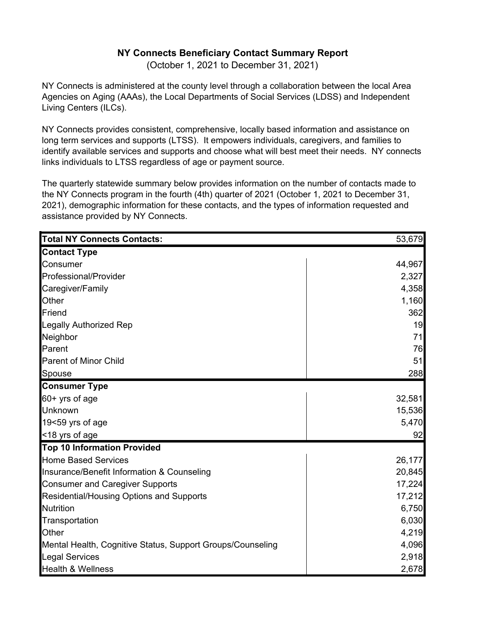## **NY Connects Beneficiary Contact Summary Report**

(October 1, 2021 to December 31, 2021)

NY Connects is administered at the county level through a collaboration between the local Area Agencies on Aging (AAAs), the Local Departments of Social Services (LDSS) and Independent Living Centers (ILCs).

NY Connects provides consistent, comprehensive, locally based information and assistance on long term services and supports (LTSS). It empowers individuals, caregivers, and families to identify available services and supports and choose what will best meet their needs. NY connects links individuals to LTSS regardless of age or payment source.

The quarterly statewide summary below provides information on the number of contacts made to the NY Connects program in the fourth (4th) quarter of 2021 (October 1, 2021 to December 31, 2021), demographic information for these contacts, and the types of information requested and assistance provided by NY Connects.

| <b>Total NY Connects Contacts:</b>                         | 53,679 |
|------------------------------------------------------------|--------|
| <b>Contact Type</b>                                        |        |
| Consumer                                                   | 44,967 |
| Professional/Provider                                      | 2,327  |
| Caregiver/Family                                           | 4,358  |
| Other                                                      | 1,160  |
| Friend                                                     | 362    |
| <b>Legally Authorized Rep</b>                              | 19     |
| Neighbor                                                   | 71     |
| Parent                                                     | 76     |
| <b>Parent of Minor Child</b>                               | 51     |
| Spouse                                                     | 288    |
| <b>Consumer Type</b>                                       |        |
| 60+ yrs of age                                             | 32,581 |
| Unknown                                                    | 15,536 |
| 19<59 yrs of age                                           | 5,470  |
| <18 yrs of age                                             | 92     |
| <b>Top 10 Information Provided</b>                         |        |
| <b>Home Based Services</b>                                 | 26,177 |
| Insurance/Benefit Information & Counseling                 | 20,845 |
| <b>Consumer and Caregiver Supports</b>                     | 17,224 |
| Residential/Housing Options and Supports                   | 17,212 |
| <b>Nutrition</b>                                           | 6,750  |
| Transportation                                             | 6,030  |
| Other                                                      | 4,219  |
| Mental Health, Cognitive Status, Support Groups/Counseling | 4,096  |
| <b>Legal Services</b>                                      | 2,918  |
| <b>Health &amp; Wellness</b>                               | 2,678  |